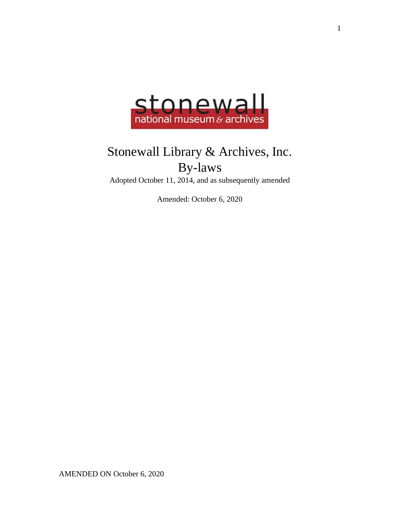

# Stonewall Library & Archives, Inc. By-laws

Adopted October 11, 2014, and as subsequently amended

Amended: October 6, 2020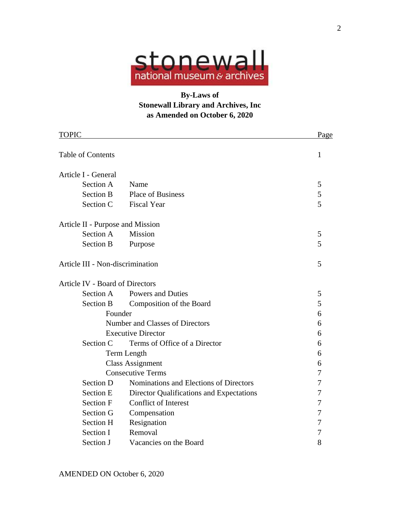

# **By-Laws of Stonewall Library and Archives, Inc as Amended on October 6, 2020**

| <b>TOPIC</b>                           |                                          | Page |
|----------------------------------------|------------------------------------------|------|
| <b>Table of Contents</b>               | 1                                        |      |
| Article I - General                    |                                          |      |
| Section A                              | Name                                     | 5    |
| <b>Section B</b>                       | <b>Place of Business</b>                 | 5    |
| Section C                              | <b>Fiscal Year</b>                       | 5    |
| Article II - Purpose and Mission       |                                          |      |
| Section A                              | <b>Mission</b>                           | 5    |
| <b>Section B</b>                       | Purpose                                  | 5    |
| Article III - Non-discrimination       | 5                                        |      |
| <b>Article IV - Board of Directors</b> |                                          |      |
| Section A                              | <b>Powers and Duties</b>                 | 5    |
| Section B                              | Composition of the Board                 | 5    |
| Founder                                | 6                                        |      |
| <b>Number and Classes of Directors</b> | 6                                        |      |
| <b>Executive Director</b>              | 6                                        |      |
| Section C                              | Terms of Office of a Director            | 6    |
| Term Length                            | 6                                        |      |
| <b>Class Assignment</b>                | 6                                        |      |
| <b>Consecutive Terms</b>               | 7                                        |      |
| <b>Section D</b>                       | Nominations and Elections of Directors   | 7    |
| <b>Section E</b>                       | Director Qualifications and Expectations | 7    |
| Section F                              | <b>Conflict of Interest</b>              | 7    |
| Section G                              | Compensation                             | 7    |
| Section H                              | Resignation                              | 7    |
| Section I                              | Removal                                  | 7    |
| Section J                              | Vacancies on the Board                   | 8    |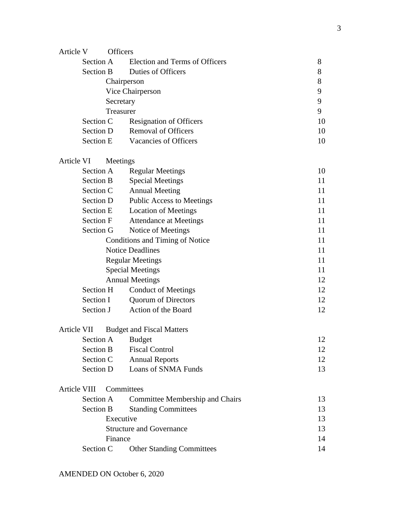| Article V           | <b>Officers</b>         |                                  |                                  |    |  |
|---------------------|-------------------------|----------------------------------|----------------------------------|----|--|
|                     | Section A               |                                  | Election and Terms of Officers   | 8  |  |
|                     | Section B               |                                  | Duties of Officers               | 8  |  |
|                     |                         | 8                                |                                  |    |  |
|                     |                         | 9                                |                                  |    |  |
|                     |                         | 9                                |                                  |    |  |
|                     | Treasurer               |                                  |                                  | 9  |  |
|                     | Section C               |                                  | <b>Resignation of Officers</b>   | 10 |  |
|                     | Section D               |                                  | <b>Removal of Officers</b>       | 10 |  |
|                     | <b>Section E</b>        |                                  | Vacancies of Officers            | 10 |  |
| Article VI          | Meetings                |                                  |                                  |    |  |
|                     | Section A               |                                  | <b>Regular Meetings</b>          | 10 |  |
|                     | <b>Section B</b>        |                                  | <b>Special Meetings</b>          | 11 |  |
|                     | Section C               |                                  | <b>Annual Meeting</b>            | 11 |  |
|                     | Section D               |                                  | <b>Public Access to Meetings</b> | 11 |  |
|                     | <b>Section E</b>        |                                  | <b>Location of Meetings</b>      | 11 |  |
|                     | <b>Section F</b>        |                                  | <b>Attendance at Meetings</b>    | 11 |  |
|                     | Section G               |                                  | Notice of Meetings               | 11 |  |
|                     |                         | 11                               |                                  |    |  |
|                     |                         |                                  | <b>Notice Deadlines</b>          | 11 |  |
|                     | <b>Regular Meetings</b> |                                  |                                  | 11 |  |
|                     | <b>Special Meetings</b> |                                  |                                  | 11 |  |
|                     | <b>Annual Meetings</b>  |                                  |                                  | 12 |  |
|                     | Section H               |                                  | <b>Conduct of Meetings</b>       | 12 |  |
|                     | Section I               |                                  | <b>Quorum of Directors</b>       | 12 |  |
|                     | Section J               |                                  | Action of the Board              | 12 |  |
| Article VII         |                         | <b>Budget and Fiscal Matters</b> |                                  |    |  |
|                     |                         |                                  | Section A Budget                 | 12 |  |
|                     | <b>Section B</b>        |                                  | <b>Fiscal Control</b>            | 12 |  |
|                     | Section C               |                                  | <b>Annual Reports</b>            | 12 |  |
|                     | Section D               |                                  | Loans of SNMA Funds              | 13 |  |
| <b>Article VIII</b> |                         | Committees                       |                                  |    |  |
|                     | Section A               |                                  | Committee Membership and Chairs  | 13 |  |
|                     | <b>Section B</b>        |                                  | <b>Standing Committees</b>       | 13 |  |
|                     | Executive               |                                  |                                  | 13 |  |
|                     |                         | <b>Structure and Governance</b>  |                                  | 13 |  |
|                     | Finance                 |                                  |                                  | 14 |  |
|                     | Section C               |                                  | <b>Other Standing Committees</b> | 14 |  |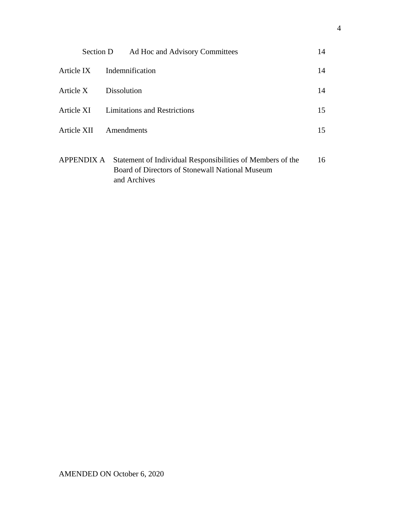|            | Section D | Ad Hoc and Advisory Committees                                                                                                           | 14 |
|------------|-----------|------------------------------------------------------------------------------------------------------------------------------------------|----|
| Article IX |           | Indemnification                                                                                                                          | 14 |
| Article X  |           | <b>Dissolution</b>                                                                                                                       | 14 |
|            |           | Article XI Limitations and Restrictions                                                                                                  | 15 |
|            |           | Article XII Amendments                                                                                                                   | 15 |
|            |           | APPENDIX A Statement of Individual Responsibilities of Members of the<br>Board of Directors of Stonewall National Museum<br>and Archives | 16 |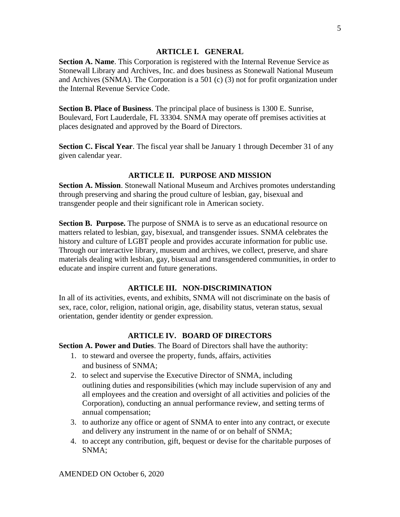#### **ARTICLE I. GENERAL**

**Section A. Name**. This Corporation is registered with the Internal Revenue Service as Stonewall Library and Archives, Inc. and does business as Stonewall National Museum and Archives (SNMA). The Corporation is a 501 (c) (3) not for profit organization under the Internal Revenue Service Code.

**Section B. Place of Business**. The principal place of business is 1300 E. Sunrise, Boulevard, Fort Lauderdale, FL 33304. SNMA may operate off premises activities at places designated and approved by the Board of Directors.

**Section C. Fiscal Year**. The fiscal year shall be January 1 through December 31 of any given calendar year.

#### **ARTICLE II. PURPOSE AND MISSION**

**Section A. Mission**. Stonewall National Museum and Archives promotes understanding through preserving and sharing the proud culture of lesbian, gay, bisexual and transgender people and their significant role in American society.

**Section B. Purpose.** The purpose of SNMA is to serve as an educational resource on matters related to lesbian, gay, bisexual, and transgender issues. SNMA celebrates the history and culture of LGBT people and provides accurate information for public use. Through our interactive library, museum and archives, we collect, preserve, and share materials dealing with lesbian, gay, bisexual and transgendered communities, in order to educate and inspire current and future generations.

# **ARTICLE III. NON-DISCRIMINATION**

In all of its activities, events, and exhibits, SNMA will not discriminate on the basis of sex, race, color, religion, national origin, age, disability status, veteran status, sexual orientation, gender identity or gender expression.

# **ARTICLE IV. BOARD OF DIRECTORS**

**Section A. Power and Duties**. The Board of Directors shall have the authority:

- 1. to steward and oversee the property, funds, affairs, activities and business of SNMA;
- 2. to select and supervise the Executive Director of SNMA, including outlining duties and responsibilities (which may include supervision of any and all employees and the creation and oversight of all activities and policies of the Corporation), conducting an annual performance review, and setting terms of annual compensation;
- 3. to authorize any office or agent of SNMA to enter into any contract, or execute and delivery any instrument in the name of or on behalf of SNMA;
- 4. to accept any contribution, gift, bequest or devise for the charitable purposes of SNMA;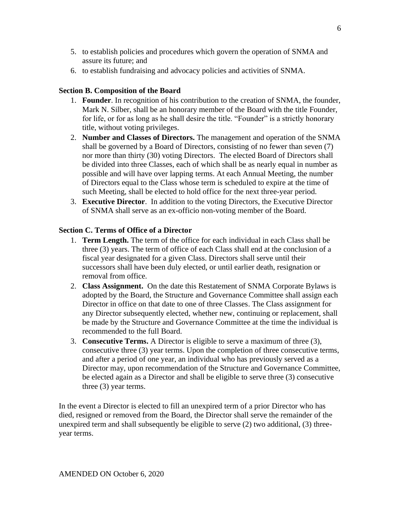- 5. to establish policies and procedures which govern the operation of SNMA and assure its future; and
- 6. to establish fundraising and advocacy policies and activities of SNMA.

#### **Section B. Composition of the Board**

- 1. **Founder**. In recognition of his contribution to the creation of SNMA, the founder, Mark N. Silber, shall be an honorary member of the Board with the title Founder, for life, or for as long as he shall desire the title. "Founder" is a strictly honorary title, without voting privileges.
- 2. **Number and Classes of Directors.** The management and operation of the SNMA shall be governed by a Board of Directors, consisting of no fewer than seven (7) nor more than thirty (30) voting Directors. The elected Board of Directors shall be divided into three Classes, each of which shall be as nearly equal in number as possible and will have over lapping terms. At each Annual Meeting, the number of Directors equal to the Class whose term is scheduled to expire at the time of such Meeting, shall be elected to hold office for the next three-year period.
- 3. **Executive Director**. In addition to the voting Directors, the Executive Director of SNMA shall serve as an ex-officio non-voting member of the Board.

#### **Section C. Terms of Office of a Director**

- 1. **Term Length.** The term of the office for each individual in each Class shall be three (3) years. The term of office of each Class shall end at the conclusion of a fiscal year designated for a given Class. Directors shall serve until their successors shall have been duly elected, or until earlier death, resignation or removal from office.
- 2. **Class Assignment.** On the date this Restatement of SNMA Corporate Bylaws is adopted by the Board, the Structure and Governance Committee shall assign each Director in office on that date to one of three Classes. The Class assignment for any Director subsequently elected, whether new, continuing or replacement, shall be made by the Structure and Governance Committee at the time the individual is recommended to the full Board.
- 3. **Consecutive Terms.** A Director is eligible to serve a maximum of three (3), consecutive three (3) year terms. Upon the completion of three consecutive terms, and after a period of one year, an individual who has previously served as a Director may, upon recommendation of the Structure and Governance Committee, be elected again as a Director and shall be eligible to serve three (3) consecutive three (3) year terms.

In the event a Director is elected to fill an unexpired term of a prior Director who has died, resigned or removed from the Board, the Director shall serve the remainder of the unexpired term and shall subsequently be eligible to serve (2) two additional, (3) threeyear terms.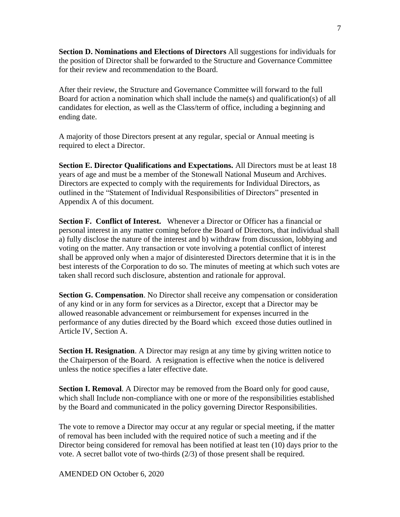**Section D. Nominations and Elections of Directors** All suggestions for individuals for the position of Director shall be forwarded to the Structure and Governance Committee for their review and recommendation to the Board.

After their review, the Structure and Governance Committee will forward to the full Board for action a nomination which shall include the name(s) and qualification(s) of all candidates for election, as well as the Class/term of office, including a beginning and ending date.

A majority of those Directors present at any regular, special or Annual meeting is required to elect a Director.

**Section E. Director Qualifications and Expectations.** All Directors must be at least 18 years of age and must be a member of the Stonewall National Museum and Archives. Directors are expected to comply with the requirements for Individual Directors, as outlined in the "Statement of Individual Responsibilities of Directors" presented in Appendix A of this document.

**Section F. Conflict of Interest.** Whenever a Director or Officer has a financial or personal interest in any matter coming before the Board of Directors, that individual shall a) fully disclose the nature of the interest and b) withdraw from discussion, lobbying and voting on the matter. Any transaction or vote involving a potential conflict of interest shall be approved only when a major of disinterested Directors determine that it is in the best interests of the Corporation to do so. The minutes of meeting at which such votes are taken shall record such disclosure, abstention and rationale for approval.

**Section G. Compensation**. No Director shall receive any compensation or consideration of any kind or in any form for services as a Director, except that a Director may be allowed reasonable advancement or reimbursement for expenses incurred in the performance of any duties directed by the Board which exceed those duties outlined in Article IV, Section A.

**Section H. Resignation**. A Director may resign at any time by giving written notice to the Chairperson of the Board. A resignation is effective when the notice is delivered unless the notice specifies a later effective date.

**Section I. Removal**. A Director may be removed from the Board only for good cause, which shall Include non-compliance with one or more of the responsibilities established by the Board and communicated in the policy governing Director Responsibilities.

The vote to remove a Director may occur at any regular or special meeting, if the matter of removal has been included with the required notice of such a meeting and if the Director being considered for removal has been notified at least ten (10) days prior to the vote. A secret ballot vote of two-thirds (2/3) of those present shall be required.

AMENDED ON October 6, 2020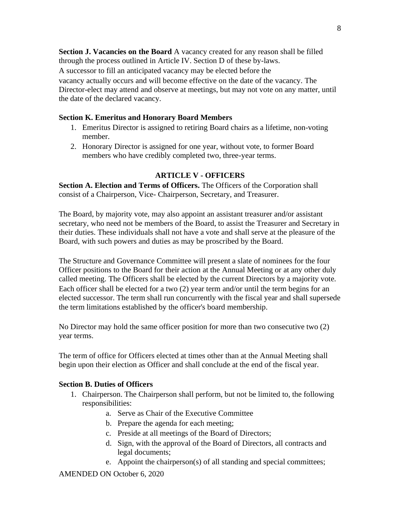**Section J. Vacancies on the Board** A vacancy created for any reason shall be filled through the process outlined in Article IV. Section D of these by-laws. A successor to fill an anticipated vacancy may be elected before the vacancy actually occurs and will become effective on the date of the vacancy. The Director-elect may attend and observe at meetings, but may not vote on any matter, until the date of the declared vacancy.

#### **Section K. Emeritus and Honorary Board Members**

- 1. Emeritus Director is assigned to retiring Board chairs as a lifetime, non-voting member.
- 2. Honorary Director is assigned for one year, without vote, to former Board members who have credibly completed two, three-year terms.

#### **ARTICLE V - OFFICERS**

**Section A. Election and Terms of Officers.** The Officers of the Corporation shall consist of a Chairperson, Vice- Chairperson, Secretary, and Treasurer.

The Board, by majority vote, may also appoint an assistant treasurer and/or assistant secretary, who need not be members of the Board, to assist the Treasurer and Secretary in their duties. These individuals shall not have a vote and shall serve at the pleasure of the Board, with such powers and duties as may be proscribed by the Board.

The Structure and Governance Committee will present a slate of nominees for the four Officer positions to the Board for their action at the Annual Meeting or at any other duly called meeting. The Officers shall be elected by the current Directors by a majority vote. Each officer shall be elected for a two (2) year term and/or until the term begins for an elected successor. The term shall run concurrently with the fiscal year and shall supersede the term limitations established by the officer's board membership.

No Director may hold the same officer position for more than two consecutive two (2) year terms.

The term of office for Officers elected at times other than at the Annual Meeting shall begin upon their election as Officer and shall conclude at the end of the fiscal year.

#### **Section B. Duties of Officers**

- 1. Chairperson. The Chairperson shall perform, but not be limited to, the following responsibilities:
	- a. Serve as Chair of the Executive Committee
	- b. Prepare the agenda for each meeting;
	- c. Preside at all meetings of the Board of Directors;
	- d. Sign, with the approval of the Board of Directors, all contracts and legal documents;
	- e. Appoint the chairperson(s) of all standing and special committees;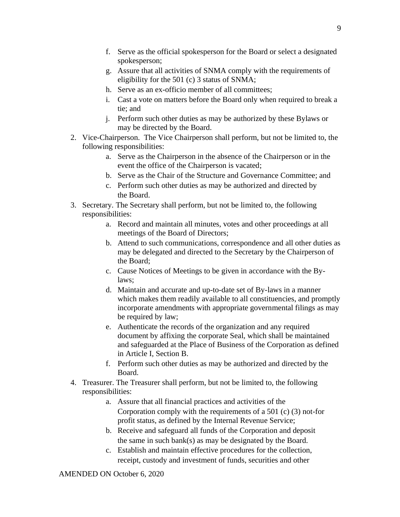- f. Serve as the official spokesperson for the Board or select a designated spokesperson;
- g. Assure that all activities of SNMA comply with the requirements of eligibility for the 501 (c) 3 status of SNMA;
- h. Serve as an ex-officio member of all committees;
- i. Cast a vote on matters before the Board only when required to break a tie; and
- j. Perform such other duties as may be authorized by these Bylaws or may be directed by the Board.
- 2. Vice-Chairperson. The Vice Chairperson shall perform, but not be limited to, the following responsibilities:
	- a. Serve as the Chairperson in the absence of the Chairperson or in the event the office of the Chairperson is vacated;
	- b. Serve as the Chair of the Structure and Governance Committee; and
	- c. Perform such other duties as may be authorized and directed by the Board.
- 3. Secretary. The Secretary shall perform, but not be limited to, the following responsibilities:
	- a. Record and maintain all minutes, votes and other proceedings at all meetings of the Board of Directors;
	- b. Attend to such communications, correspondence and all other duties as may be delegated and directed to the Secretary by the Chairperson of the Board;
	- c. Cause Notices of Meetings to be given in accordance with the Bylaws;
	- d. Maintain and accurate and up-to-date set of By-laws in a manner which makes them readily available to all constituencies, and promptly incorporate amendments with appropriate governmental filings as may be required by law;
	- e. Authenticate the records of the organization and any required document by affixing the corporate Seal, which shall be maintained and safeguarded at the Place of Business of the Corporation as defined in Article I, Section B.
	- f. Perform such other duties as may be authorized and directed by the Board.
- 4. Treasurer. The Treasurer shall perform, but not be limited to, the following responsibilities:
	- a. Assure that all financial practices and activities of the Corporation comply with the requirements of a 501 (c) (3) not-for profit status, as defined by the Internal Revenue Service;
	- b. Receive and safeguard all funds of the Corporation and deposit the same in such bank(s) as may be designated by the Board.
	- c. Establish and maintain effective procedures for the collection, receipt, custody and investment of funds, securities and other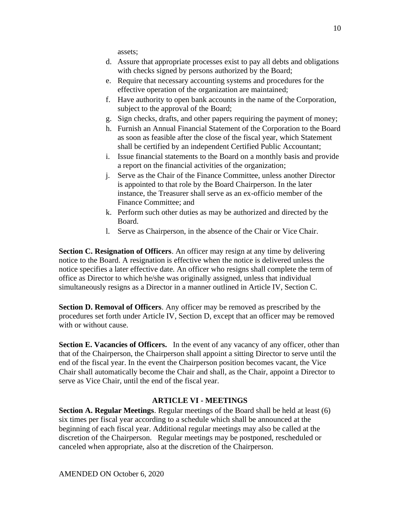assets;

- d. Assure that appropriate processes exist to pay all debts and obligations with checks signed by persons authorized by the Board;
- e. Require that necessary accounting systems and procedures for the effective operation of the organization are maintained;
- f. Have authority to open bank accounts in the name of the Corporation, subject to the approval of the Board;
- g. Sign checks, drafts, and other papers requiring the payment of money;
- h. Furnish an Annual Financial Statement of the Corporation to the Board as soon as feasible after the close of the fiscal year, which Statement shall be certified by an independent Certified Public Accountant;
- i. Issue financial statements to the Board on a monthly basis and provide a report on the financial activities of the organization;
- j. Serve as the Chair of the Finance Committee, unless another Director is appointed to that role by the Board Chairperson. In the later instance, the Treasurer shall serve as an ex-officio member of the Finance Committee; and
- k. Perform such other duties as may be authorized and directed by the Board.
- l. Serve as Chairperson, in the absence of the Chair or Vice Chair.

**Section C. Resignation of Officers**. An officer may resign at any time by delivering notice to the Board. A resignation is effective when the notice is delivered unless the notice specifies a later effective date. An officer who resigns shall complete the term of office as Director to which he/she was originally assigned, unless that individual simultaneously resigns as a Director in a manner outlined in Article IV, Section C.

**Section D. Removal of Officers**. Any officer may be removed as prescribed by the procedures set forth under Article IV, Section D, except that an officer may be removed with or without cause.

**Section E. Vacancies of Officers.** In the event of any vacancy of any officer, other than that of the Chairperson, the Chairperson shall appoint a sitting Director to serve until the end of the fiscal year. In the event the Chairperson position becomes vacant, the Vice Chair shall automatically become the Chair and shall, as the Chair, appoint a Director to serve as Vice Chair, until the end of the fiscal year.

# **ARTICLE VI - MEETINGS**

**Section A. Regular Meetings**. Regular meetings of the Board shall be held at least (6) six times per fiscal year according to a schedule which shall be announced at the beginning of each fiscal year. Additional regular meetings may also be called at the discretion of the Chairperson. Regular meetings may be postponed, rescheduled or canceled when appropriate, also at the discretion of the Chairperson.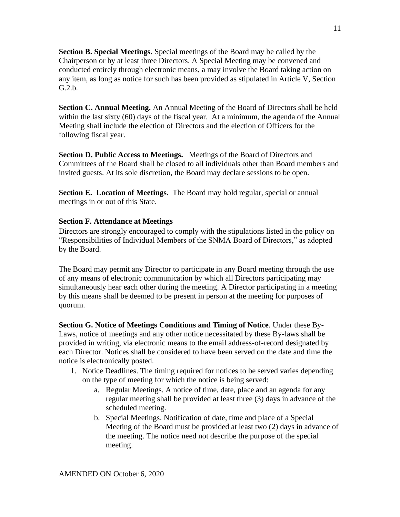**Section B. Special Meetings.** Special meetings of the Board may be called by the Chairperson or by at least three Directors. A Special Meeting may be convened and conducted entirely through electronic means, a may involve the Board taking action on any item, as long as notice for such has been provided as stipulated in Article V, Section G.2.b.

**Section C. Annual Meeting.** An Annual Meeting of the Board of Directors shall be held within the last sixty (60) days of the fiscal year. At a minimum, the agenda of the Annual Meeting shall include the election of Directors and the election of Officers for the following fiscal year.

**Section D. Public Access to Meetings.** Meetings of the Board of Directors and Committees of the Board shall be closed to all individuals other than Board members and invited guests. At its sole discretion, the Board may declare sessions to be open.

**Section E. Location of Meetings.** The Board may hold regular, special or annual meetings in or out of this State.

# **Section F. Attendance at Meetings**

Directors are strongly encouraged to comply with the stipulations listed in the policy on "Responsibilities of Individual Members of the SNMA Board of Directors," as adopted by the Board.

The Board may permit any Director to participate in any Board meeting through the use of any means of electronic communication by which all Directors participating may simultaneously hear each other during the meeting. A Director participating in a meeting by this means shall be deemed to be present in person at the meeting for purposes of quorum.

**Section G. Notice of Meetings Conditions and Timing of Notice**. Under these By-Laws, notice of meetings and any other notice necessitated by these By-laws shall be provided in writing, via electronic means to the email address-of-record designated by each Director. Notices shall be considered to have been served on the date and time the notice is electronically posted.

- 1. Notice Deadlines. The timing required for notices to be served varies depending on the type of meeting for which the notice is being served:
	- a. Regular Meetings. A notice of time, date, place and an agenda for any regular meeting shall be provided at least three (3) days in advance of the scheduled meeting.
	- b. Special Meetings. Notification of date, time and place of a Special Meeting of the Board must be provided at least two (2) days in advance of the meeting. The notice need not describe the purpose of the special meeting.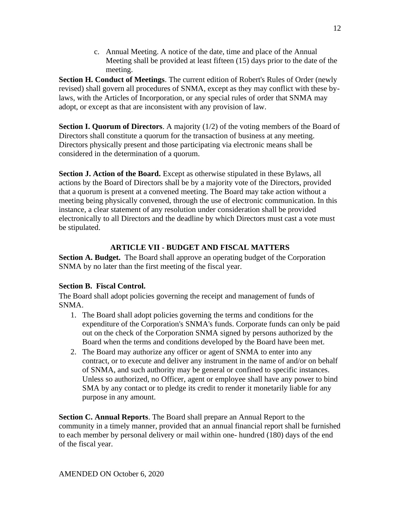c. Annual Meeting. A notice of the date, time and place of the Annual Meeting shall be provided at least fifteen (15) days prior to the date of the meeting.

**Section H. Conduct of Meetings**. The current edition of Robert's Rules of Order (newly revised) shall govern all procedures of SNMA, except as they may conflict with these bylaws, with the Articles of Incorporation, or any special rules of order that SNMA may adopt, or except as that are inconsistent with any provision of law.

**Section I. Quorum of Directors**. A majority (1/2) of the voting members of the Board of Directors shall constitute a quorum for the transaction of business at any meeting. Directors physically present and those participating via electronic means shall be considered in the determination of a quorum.

**Section J. Action of the Board.** Except as otherwise stipulated in these Bylaws, all actions by the Board of Directors shall be by a majority vote of the Directors, provided that a quorum is present at a convened meeting. The Board may take action without a meeting being physically convened, through the use of electronic communication. In this instance, a clear statement of any resolution under consideration shall be provided electronically to all Directors and the deadline by which Directors must cast a vote must be stipulated.

# **ARTICLE VII - BUDGET AND FISCAL MATTERS**

**Section A. Budget.** The Board shall approve an operating budget of the Corporation SNMA by no later than the first meeting of the fiscal year.

# **Section B. Fiscal Control.**

The Board shall adopt policies governing the receipt and management of funds of SNMA.

- 1. The Board shall adopt policies governing the terms and conditions for the expenditure of the Corporation's SNMA's funds. Corporate funds can only be paid out on the check of the Corporation SNMA signed by persons authorized by the Board when the terms and conditions developed by the Board have been met.
- 2. The Board may authorize any officer or agent of SNMA to enter into any contract, or to execute and deliver any instrument in the name of and/or on behalf of SNMA, and such authority may be general or confined to specific instances. Unless so authorized, no Officer, agent or employee shall have any power to bind SMA by any contact or to pledge its credit to render it monetarily liable for any purpose in any amount.

**Section C. Annual Reports**. The Board shall prepare an Annual Report to the community in a timely manner, provided that an annual financial report shall be furnished to each member by personal delivery or mail within one- hundred (180) days of the end of the fiscal year.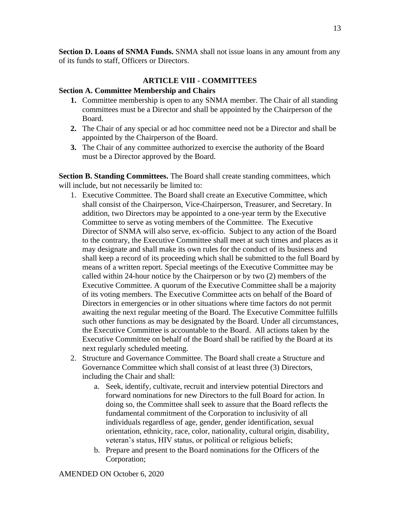**Section D. Loans of SNMA Funds.** SNMA shall not issue loans in any amount from any of its funds to staff, Officers or Directors.

# **ARTICLE VIII - COMMITTEES**

#### **Section A. Committee Membership and Chairs**

- **1.** Committee membership is open to any SNMA member. The Chair of all standing committees must be a Director and shall be appointed by the Chairperson of the Board.
- **2.** The Chair of any special or ad hoc committee need not be a Director and shall be appointed by the Chairperson of the Board.
- **3.** The Chair of any committee authorized to exercise the authority of the Board must be a Director approved by the Board.

**Section B. Standing Committees.** The Board shall create standing committees, which will include, but not necessarily be limited to:

- 1. Executive Committee. The Board shall create an Executive Committee, which shall consist of the Chairperson, Vice-Chairperson, Treasurer, and Secretary. In addition, two Directors may be appointed to a one-year term by the Executive Committee to serve as voting members of the Committee. The Executive Director of SNMA will also serve, ex-officio. Subject to any action of the Board to the contrary, the Executive Committee shall meet at such times and places as it may designate and shall make its own rules for the conduct of its business and shall keep a record of its proceeding which shall be submitted to the full Board by means of a written report. Special meetings of the Executive Committee may be called within 24-hour notice by the Chairperson or by two (2) members of the Executive Committee. A quorum of the Executive Committee shall be a majority of its voting members. The Executive Committee acts on behalf of the Board of Directors in emergencies or in other situations where time factors do not permit awaiting the next regular meeting of the Board. The Executive Committee fulfills such other functions as may be designated by the Board. Under all circumstances, the Executive Committee is accountable to the Board. All actions taken by the Executive Committee on behalf of the Board shall be ratified by the Board at its next regularly scheduled meeting.
- 2. Structure and Governance Committee. The Board shall create a Structure and Governance Committee which shall consist of at least three (3) Directors, including the Chair and shall:
	- a. Seek, identify, cultivate, recruit and interview potential Directors and forward nominations for new Directors to the full Board for action. In doing so, the Committee shall seek to assure that the Board reflects the fundamental commitment of the Corporation to inclusivity of all individuals regardless of age, gender, gender identification, sexual orientation, ethnicity, race, color, nationality, cultural origin, disability, veteran's status, HIV status, or political or religious beliefs;
	- b. Prepare and present to the Board nominations for the Officers of the Corporation;

AMENDED ON October 6, 2020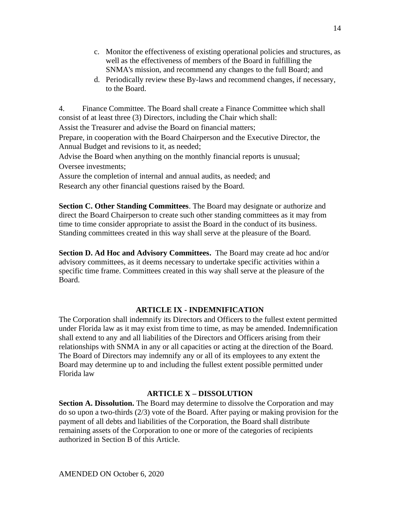- c. Monitor the effectiveness of existing operational policies and structures, as well as the effectiveness of members of the Board in fulfilling the SNMA's mission, and recommend any changes to the full Board; and
- d. Periodically review these By-laws and recommend changes, if necessary, to the Board.

4. Finance Committee. The Board shall create a Finance Committee which shall consist of at least three (3) Directors, including the Chair which shall:

Assist the Treasurer and advise the Board on financial matters;

Prepare, in cooperation with the Board Chairperson and the Executive Director, the Annual Budget and revisions to it, as needed;

Advise the Board when anything on the monthly financial reports is unusual; Oversee investments;

Assure the completion of internal and annual audits, as needed; and Research any other financial questions raised by the Board.

**Section C. Other Standing Committees**. The Board may designate or authorize and direct the Board Chairperson to create such other standing committees as it may from time to time consider appropriate to assist the Board in the conduct of its business. Standing committees created in this way shall serve at the pleasure of the Board.

**Section D. Ad Hoc and Advisory Committees.** The Board may create ad hoc and/or advisory committees, as it deems necessary to undertake specific activities within a specific time frame. Committees created in this way shall serve at the pleasure of the Board.

# **ARTICLE IX - INDEMNIFICATION**

The Corporation shall indemnify its Directors and Officers to the fullest extent permitted under Florida law as it may exist from time to time, as may be amended. Indemnification shall extend to any and all liabilities of the Directors and Officers arising from their relationships with SNMA in any or all capacities or acting at the direction of the Board. The Board of Directors may indemnify any or all of its employees to any extent the Board may determine up to and including the fullest extent possible permitted under Florida law

# **ARTICLE X – DISSOLUTION**

**Section A. Dissolution.** The Board may determine to dissolve the Corporation and may do so upon a two-thirds (2/3) vote of the Board. After paying or making provision for the payment of all debts and liabilities of the Corporation, the Board shall distribute remaining assets of the Corporation to one or more of the categories of recipients authorized in Section B of this Article.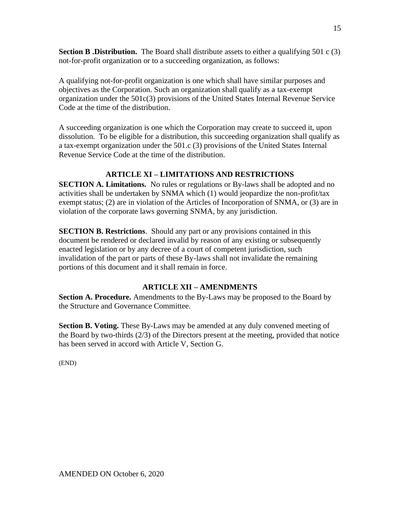**Section B. Distribution.** The Board shall distribute assets to either a qualifying 501 c (3) not-for-profit organization or to a succeeding organization, as follows:

A qualifying not-for-profit organization is one which shall have similar purposes and objectives as the Corporation. Such an organization shall qualify as a tax-exempt organization under the 501c(3) provisions of the United States Internal Revenue Service Code at the time of the distribution.

A succeeding organization is one which the Corporation may create to succeed it, upon dissolution. To be eligible for a distribution, this succeeding organization shall qualify as a tax-exempt organization under the 501.c (3) provisions of the United States Internal Revenue Service Code at the time of the distribution.

# **ARTICLE XI – LIMITATIONS AND RESTRICTIONS**

**SECTION A. Limitations.** No rules or regulations or By-laws shall be adopted and no activities shall be undertaken by SNMA which (1) would jeopardize the non-profit/tax exempt status; (2) are in violation of the Articles of Incorporation of SNMA, or (3) are in violation of the corporate laws governing SNMA, by any jurisdiction.

**SECTION B. Restrictions**. Should any part or any provisions contained in this document be rendered or declared invalid by reason of any existing or subsequently enacted legislation or by any decree of a court of competent jurisdiction, such invalidation of the part or parts of these By-laws shall not invalidate the remaining portions of this document and it shall remain in force.

# **ARTICLE XII – AMENDMENTS**

**Section A. Procedure.** Amendments to the By-Laws may be proposed to the Board by the Structure and Governance Committee.

**Section B. Voting.** These By-Laws may be amended at any duly convened meeting of the Board by two-thirds (2/3) of the Directors present at the meeting, provided that notice has been served in accord with Article V, Section G.

(END)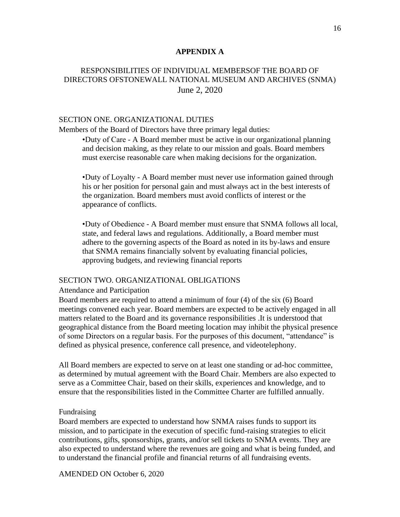#### **APPENDIX A**

# RESPONSIBILITIES OF INDIVIDUAL MEMBERSOF THE BOARD OF DIRECTORS OFSTONEWALL NATIONAL MUSEUM AND ARCHIVES (SNMA) June 2, 2020

#### SECTION ONE. ORGANIZATIONAL DUTIES

Members of the Board of Directors have three primary legal duties:

•Duty of Care - A Board member must be active in our organizational planning and decision making, as they relate to our mission and goals. Board members must exercise reasonable care when making decisions for the organization.

•Duty of Loyalty - A Board member must never use information gained through his or her position for personal gain and must always act in the best interests of the organization. Board members must avoid conflicts of interest or the appearance of conflicts.

•Duty of Obedience - A Board member must ensure that SNMA follows all local, state, and federal laws and regulations. Additionally, a Board member must adhere to the governing aspects of the Board as noted in its by-laws and ensure that SNMA remains financially solvent by evaluating financial policies, approving budgets, and reviewing financial reports

#### SECTION TWO. ORGANIZATIONAL OBLIGATIONS

#### Attendance and Participation

Board members are required to attend a minimum of four (4) of the six (6) Board meetings convened each year. Board members are expected to be actively engaged in all matters related to the Board and its governance responsibilities .It is understood that geographical distance from the Board meeting location may inhibit the physical presence of some Directors on a regular basis. For the purposes of this document, "attendance" is defined as physical presence, conference call presence, and videotelephony.

All Board members are expected to serve on at least one standing or ad-hoc committee, as determined by mutual agreement with the Board Chair. Members are also expected to serve as a Committee Chair, based on their skills, experiences and knowledge, and to ensure that the responsibilities listed in the Committee Charter are fulfilled annually.

#### Fundraising

Board members are expected to understand how SNMA raises funds to support its mission, and to participate in the execution of specific fund-raising strategies to elicit contributions, gifts, sponsorships, grants, and/or sell tickets to SNMA events. They are also expected to understand where the revenues are going and what is being funded, and to understand the financial profile and financial returns of all fundraising events.

AMENDED ON October 6, 2020